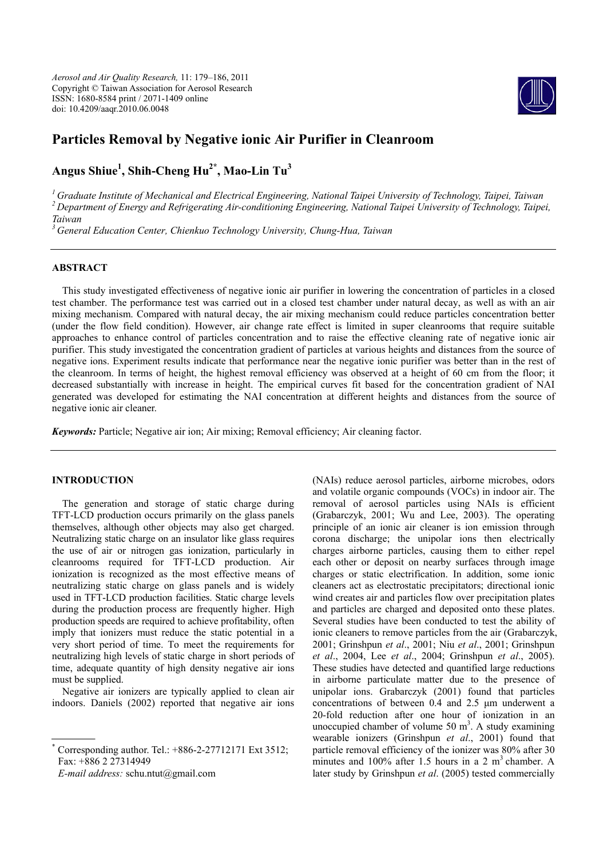*Aerosol and Air Quality Research,* 11: 179–186, 2011 Copyright © Taiwan Association for Aerosol Research ISSN: 1680-8584 print / 2071-1409 online doi: 10.4209/aaqr.2010.06.0048



# **Particles Removal by Negative ionic Air Purifier in Cleanroom**

# **Angus Shiue1 , Shih-Cheng Hu2\*, Mao-Lin Tu3**

<sup>1</sup> Graduate Institute of Mechanical and Electrical Engineering, National Taipei University of Technology, Taipei, Taiwan<br><sup>2</sup> Department of Energy and Refrigerating Air-conditioning Engineering, National Taipei University *Taiwan* 

*3 General Education Center, Chienkuo Technology University, Chung-Hua, Taiwan* 

# **ABSTRACT**

This study investigated effectiveness of negative ionic air purifier in lowering the concentration of particles in a closed test chamber. The performance test was carried out in a closed test chamber under natural decay, as well as with an air mixing mechanism. Compared with natural decay, the air mixing mechanism could reduce particles concentration better (under the flow field condition). However, air change rate effect is limited in super cleanrooms that require suitable approaches to enhance control of particles concentration and to raise the effective cleaning rate of negative ionic air purifier. This study investigated the concentration gradient of particles at various heights and distances from the source of negative ions. Experiment results indicate that performance near the negative ionic purifier was better than in the rest of the cleanroom. In terms of height, the highest removal efficiency was observed at a height of 60 cm from the floor; it decreased substantially with increase in height. The empirical curves fit based for the concentration gradient of NAI generated was developed for estimating the NAI concentration at different heights and distances from the source of negative ionic air cleaner.

*Keywords:* Particle; Negative air ion; Air mixing; Removal efficiency; Air cleaning factor.

# **INTRODUCTION**

The generation and storage of static charge during TFT-LCD production occurs primarily on the glass panels themselves, although other objects may also get charged. Neutralizing static charge on an insulator like glass requires the use of air or nitrogen gas ionization, particularly in cleanrooms required for TFT-LCD production. Air ionization is recognized as the most effective means of neutralizing static charge on glass panels and is widely used in TFT-LCD production facilities. Static charge levels during the production process are frequently higher. High production speeds are required to achieve profitability, often imply that ionizers must reduce the static potential in a very short period of time. To meet the requirements for neutralizing high levels of static charge in short periods of time, adequate quantity of high density negative air ions must be supplied.

Negative air ionizers are typically applied to clean air indoors. Daniels (2002) reported that negative air ions

\* Corresponding author. Tel.: +886-2-27712171 Ext 3512; Fax: +886 2 27314949

*E-mail address:* schu.ntut@gmail.com

(NAIs) reduce aerosol particles, airborne microbes, odors and volatile organic compounds (VOCs) in indoor air. The removal of aerosol particles using NAIs is efficient (Grabarczyk, 2001; Wu and Lee, 2003). The operating principle of an ionic air cleaner is ion emission through corona discharge; the unipolar ions then electrically charges airborne particles, causing them to either repel each other or deposit on nearby surfaces through image charges or static electrification. In addition, some ionic cleaners act as electrostatic precipitators; directional ionic wind creates air and particles flow over precipitation plates and particles are charged and deposited onto these plates. Several studies have been conducted to test the ability of ionic cleaners to remove particles from the air (Grabarczyk, 2001; Grinshpun *et al*., 2001; Niu *et al*., 2001; Grinshpun *et al*., 2004, Lee *et al*., 2004; Grinshpun *et al*., 2005). These studies have detected and quantified large reductions in airborne particulate matter due to the presence of unipolar ions. Grabarczyk (2001) found that particles concentrations of between 0.4 and 2.5 μm underwent a 20-fold reduction after one hour of ionization in an unoccupied chamber of volume 50  $m<sup>3</sup>$ . A study examining wearable ionizers (Grinshpun *et al*., 2001) found that particle removal efficiency of the ionizer was 80% after 30 minutes and  $100\%$  after 1.5 hours in a 2 m<sup>3</sup> chamber. A later study by Grinshpun *et al*. (2005) tested commercially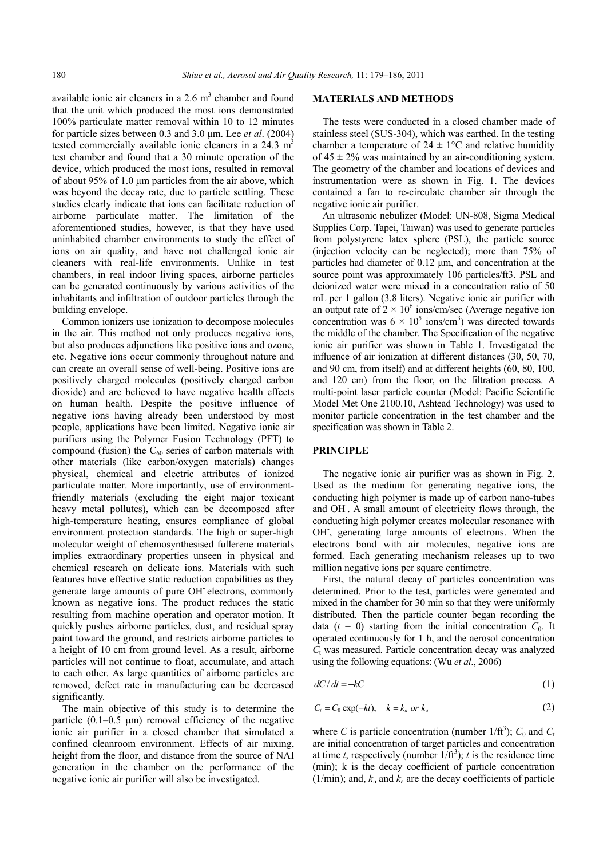available ionic air cleaners in a  $2.6 \text{ m}^3$  chamber and found that the unit which produced the most ions demonstrated 100% particulate matter removal within 10 to 12 minutes for particle sizes between 0.3 and 3.0 μm. Lee *et al*. (2004) tested commercially available ionic cleaners in a  $24.3 \text{ m}^3$ test chamber and found that a 30 minute operation of the device, which produced the most ions, resulted in removal of about 95% of 1.0 μm particles from the air above, which was beyond the decay rate, due to particle settling. These studies clearly indicate that ions can facilitate reduction of airborne particulate matter. The limitation of the aforementioned studies, however, is that they have used uninhabited chamber environments to study the effect of ions on air quality, and have not challenged ionic air cleaners with real-life environments. Unlike in test chambers, in real indoor living spaces, airborne particles can be generated continuously by various activities of the inhabitants and infiltration of outdoor particles through the building envelope.

Common ionizers use ionization to decompose molecules in the air. This method not only produces negative ions, but also produces adjunctions like positive ions and ozone, etc. Negative ions occur commonly throughout nature and can create an overall sense of well-being. Positive ions are positively charged molecules (positively charged carbon dioxide) and are believed to have negative health effects on human health. Despite the positive influence of negative ions having already been understood by most people, applications have been limited. Negative ionic air purifiers using the Polymer Fusion Technology (PFT) to compound (fusion) the  $C_{60}$  series of carbon materials with other materials (like carbon/oxygen materials) changes physical, chemical and electric attributes of ionized particulate matter. More importantly, use of environmentfriendly materials (excluding the eight major toxicant heavy metal pollutes), which can be decomposed after high-temperature heating, ensures compliance of global environment protection standards. The high or super-high molecular weight of chemosynthesised fullerene materials implies extraordinary properties unseen in physical and chemical research on delicate ions. Materials with such features have effective static reduction capabilities as they generate large amounts of pure OH- electrons, commonly known as negative ions. The product reduces the static resulting from machine operation and operator motion. It quickly pushes airborne particles, dust, and residual spray paint toward the ground, and restricts airborne particles to a height of 10 cm from ground level. As a result, airborne particles will not continue to float, accumulate, and attach to each other. As large quantities of airborne particles are removed, defect rate in manufacturing can be decreased significantly.

The main objective of this study is to determine the particle  $(0.1-0.5 \mu m)$  removal efficiency of the negative ionic air purifier in a closed chamber that simulated a confined cleanroom environment. Effects of air mixing, height from the floor, and distance from the source of NAI generation in the chamber on the performance of the negative ionic air purifier will also be investigated.

## **MATERIALS AND METHODS**

The tests were conducted in a closed chamber made of stainless steel (SUS-304), which was earthed. In the testing chamber a temperature of  $24 \pm 1$ °C and relative humidity of  $45 \pm 2\%$  was maintained by an air-conditioning system. The geometry of the chamber and locations of devices and instrumentation were as shown in Fig. 1. The devices contained a fan to re-circulate chamber air through the negative ionic air purifier.

An ultrasonic nebulizer (Model: UN-808, Sigma Medical Supplies Corp. Tapei, Taiwan) was used to generate particles from polystyrene latex sphere (PSL), the particle source (injection velocity can be neglected); more than 75% of particles had diameter of 0.12 μm, and concentration at the source point was approximately 106 particles/ft3. PSL and deionized water were mixed in a concentration ratio of 50 mL per 1 gallon (3.8 liters). Negative ionic air purifier with an output rate of  $2 \times 10^6$  ions/cm/sec (Average negative ion concentration was  $6 \times 10^5$  ions/cm<sup>3</sup>) was directed towards the middle of the chamber. The Specification of the negative ionic air purifier was shown in Table 1. Investigated the influence of air ionization at different distances (30, 50, 70, and 90 cm, from itself) and at different heights (60, 80, 100, and 120 cm) from the floor, on the filtration process. A multi-point laser particle counter (Model: Pacific Scientific Model Met One 2100.10, Ashtead Technology) was used to monitor particle concentration in the test chamber and the specification was shown in Table 2.

## **PRINCIPLE**

The negative ionic air purifier was as shown in Fig. 2. Used as the medium for generating negative ions, the conducting high polymer is made up of carbon nano-tubes and OH- . A small amount of electricity flows through, the conducting high polymer creates molecular resonance with OH, generating large amounts of electrons. When the electrons bond with air molecules, negative ions are formed. Each generating mechanism releases up to two million negative ions per square centimetre.

First, the natural decay of particles concentration was determined. Prior to the test, particles were generated and mixed in the chamber for 30 min so that they were uniformly distributed. Then the particle counter began recording the data  $(t = 0)$  starting from the initial concentration  $C_0$ . It operated continuously for 1 h, and the aerosol concentration  $C<sub>t</sub>$  was measured. Particle concentration decay was analyzed using the following equations: (Wu *et al*., 2006)

$$
dC/dt = -kC \tag{1}
$$

$$
C_t = C_0 \exp(-kt), \quad k = k_n \text{ or } k_a \tag{2}
$$

where *C* is particle concentration (number  $1/ft^3$ );  $C_0$  and  $C_1$ are initial concentration of target particles and concentration at time *t*, respectively (number  $1/\text{ft}^3$ ); *t* is the residence time (min); k is the decay coefficient of particle concentration  $(1/\text{min})$ ; and,  $k_n$  and  $k_a$  are the decay coefficients of particle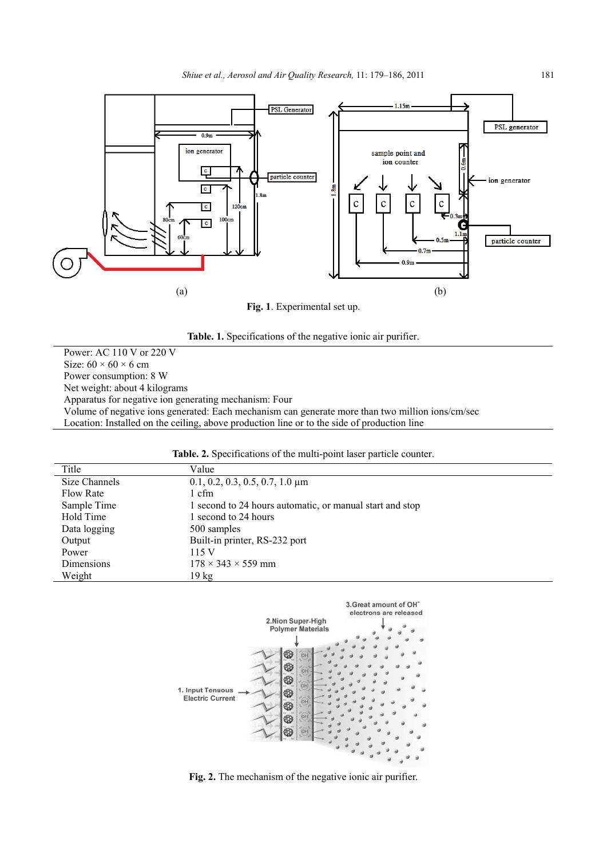

**Fig. 1**. Experimental set up.



Power: AC 110 V or 220 V Size:  $60 \times 60 \times 6$  cm Power consumption: 8 W Net weight: about 4 kilograms Apparatus for negative ion generating mechanism: Four Volume of negative ions generated: Each mechanism can generate more than two million ions/cm/sec Location: Installed on the ceiling, above production line or to the side of production line

| Table. 2. Specifications of the multi-point laser particle counter. |
|---------------------------------------------------------------------|
|---------------------------------------------------------------------|

| Title         | Value                                                    |
|---------------|----------------------------------------------------------|
| Size Channels | $0.1, 0.2, 0.3, 0.5, 0.7, 1.0 \mu m$                     |
| Flow Rate     | 1 cfm                                                    |
| Sample Time   | 1 second to 24 hours automatic, or manual start and stop |
| Hold Time     | 1 second to 24 hours                                     |
| Data logging  | 500 samples                                              |
| Output        | Built-in printer, RS-232 port                            |
| Power         | 115 V                                                    |
| Dimensions    | $178 \times 343 \times 559$ mm                           |
| Weight        | 19 kg                                                    |



**Fig. 2.** The mechanism of the negative ionic air purifier.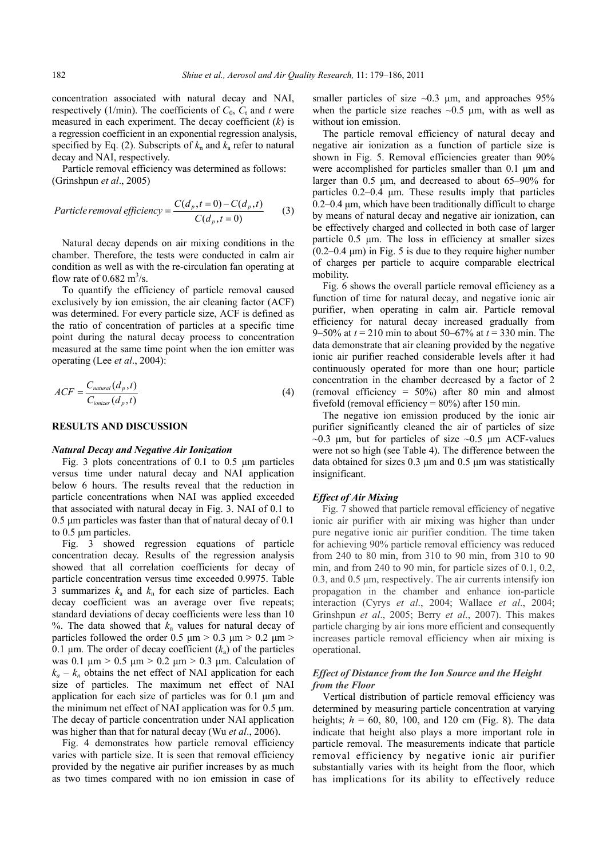concentration associated with natural decay and NAI, respectively (1/min). The coefficients of  $C_0$ ,  $C_t$  and *t* were measured in each experiment. The decay coefficient (*k*) is a regression coefficient in an exponential regression analysis, specified by Eq. (2). Subscripts of  $k_n$  and  $k_a$  refer to natural decay and NAI, respectively.

Particle removal efficiency was determined as follows: (Grinshpun *et al*., 2005)

$$
Particle removal efficiency = \frac{C(d_p, t=0) - C(d_p, t)}{C(d_p, t=0)}
$$
 (3)

Natural decay depends on air mixing conditions in the chamber. Therefore, the tests were conducted in calm air condition as well as with the re-circulation fan operating at flow rate of  $0.682 \text{ m}^3\text{/s.}$ 

To quantify the efficiency of particle removal caused exclusively by ion emission, the air cleaning factor (ACF) was determined. For every particle size, ACF is defined as the ratio of concentration of particles at a specific time point during the natural decay process to concentration measured at the same time point when the ion emitter was operating (Lee *et al*., 2004):

$$
ACF = \frac{C_{natural}(d_p, t)}{C_{ionizer}(d_p, t)}
$$
(4)

#### **RESULTS AND DISCUSSION**

#### *Natural Decay and Negative Air Ionization*

Fig. 3 plots concentrations of 0.1 to 0.5 μm particles versus time under natural decay and NAI application below 6 hours. The results reveal that the reduction in particle concentrations when NAI was applied exceeded that associated with natural decay in Fig. 3. NAI of 0.1 to 0.5 μm particles was faster than that of natural decay of 0.1 to 0.5 μm particles.

Fig. 3 showed regression equations of particle concentration decay. Results of the regression analysis showed that all correlation coefficients for decay of particle concentration versus time exceeded 0.9975. Table 3 summarizes  $k_a$  and  $k_n$  for each size of particles. Each decay coefficient was an average over five repeats; standard deviations of decay coefficients were less than 10 %. The data showed that  $k_n$  values for natural decay of particles followed the order 0.5  $\mu$ m > 0.3  $\mu$ m > 0.2  $\mu$ m > 0.1  $\mu$ m. The order of decay coefficient ( $k_a$ ) of the particles was 0.1  $\mu$ m > 0.5  $\mu$ m > 0.2  $\mu$ m > 0.3  $\mu$ m. Calculation of  $k_a - k_n$  obtains the net effect of NAI application for each size of particles. The maximum net effect of NAI application for each size of particles was for 0.1 μm and the minimum net effect of NAI application was for 0.5 μm. The decay of particle concentration under NAI application was higher than that for natural decay (Wu *et al*., 2006).

Fig. 4 demonstrates how particle removal efficiency varies with particle size. It is seen that removal efficiency provided by the negative air purifier increases by as much as two times compared with no ion emission in case of smaller particles of size  $\sim 0.3$  μm, and approaches 95% when the particle size reaches  $\sim 0.5$  µm, with as well as without ion emission.

The particle removal efficiency of natural decay and negative air ionization as a function of particle size is shown in Fig. 5. Removal efficiencies greater than 90% were accomplished for particles smaller than 0.1 μm and larger than 0.5 μm, and decreased to about 65–90% for particles 0.2–0.4 μm. These results imply that particles 0.2–0.4 μm, which have been traditionally difficult to charge by means of natural decay and negative air ionization, can be effectively charged and collected in both case of larger particle 0.5 μm. The loss in efficiency at smaller sizes  $(0.2-0.4 \mu m)$  in Fig. 5 is due to they require higher number of charges per particle to acquire comparable electrical mobility.

Fig. 6 shows the overall particle removal efficiency as a function of time for natural decay, and negative ionic air purifier, when operating in calm air. Particle removal efficiency for natural decay increased gradually from 9–50% at *t* = 210 min to about 50–67% at *t* = 330 min. The data demonstrate that air cleaning provided by the negative ionic air purifier reached considerable levels after it had continuously operated for more than one hour; particle concentration in the chamber decreased by a factor of 2 (removal efficiency = 50%) after 80 min and almost fivefold (removal efficiency =  $80\%$ ) after 150 min.

The negative ion emission produced by the ionic air purifier significantly cleaned the air of particles of size  $\sim$ 0.3 μm, but for particles of size  $\sim$ 0.5 μm ACF-values were not so high (see Table 4). The difference between the data obtained for sizes 0.3 μm and 0.5 μm was statistically insignificant.

## *Effect of Air Mixing*

Fig. 7 showed that particle removal efficiency of negative ionic air purifier with air mixing was higher than under pure negative ionic air purifier condition. The time taken for achieving 90% particle removal efficiency was reduced from 240 to 80 min, from 310 to 90 min, from 310 to 90 min, and from 240 to 90 min, for particle sizes of 0.1, 0.2, 0.3, and 0.5 μm, respectively. The air currents intensify ion propagation in the chamber and enhance ion-particle interaction (Cyrys *et al*., 2004; Wallace *et al*., 2004; Grinshpun *et al*., 2005; Berry *et al*., 2007). This makes particle charging by air ions more efficient and consequently increases particle removal efficiency when air mixing is operational.

## *Effect of Distance from the Ion Source and the Height from the Floor*

Vertical distribution of particle removal efficiency was determined by measuring particle concentration at varying heights;  $h = 60, 80, 100,$  and 120 cm (Fig. 8). The data indicate that height also plays a more important role in particle removal. The measurements indicate that particle removal efficiency by negative ionic air purifier substantially varies with its height from the floor, which has implications for its ability to effectively reduce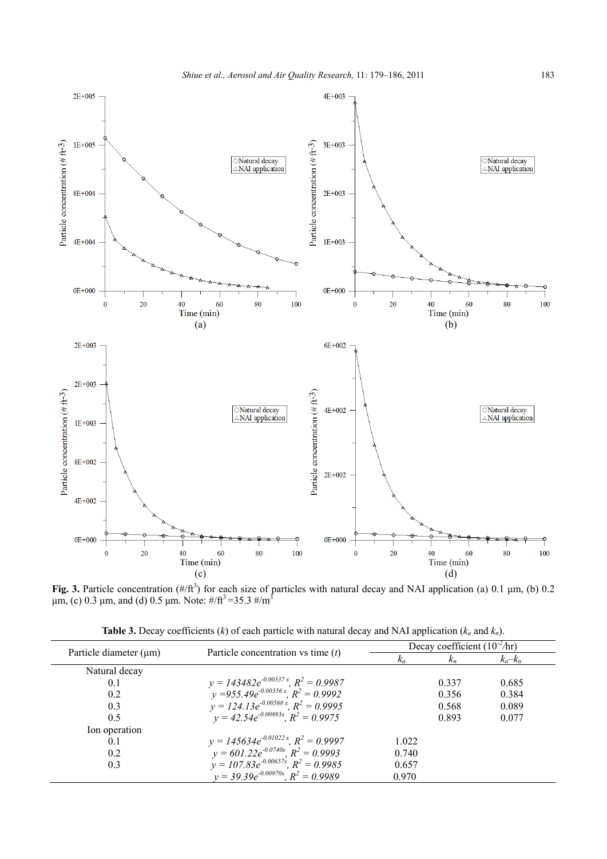

Fig. 3. Particle concentration  $(\#/\text{ft}^3)$  for each size of particles with natural decay and NAI application (a) 0.1  $\mu$ m, (b) 0.2 μm, (c) 0.3 μm, and (d) 0.5 μm. Note:  $\#$ /ft<sup>3</sup> = 35.3  $\#$ /m<sup>3</sup>

| <b>Table 3.</b> Decay coefficients (k) of each particle with natural decay and NAI application ( $k_a$ and $k_n$ ). |  |  |  |
|---------------------------------------------------------------------------------------------------------------------|--|--|--|
|---------------------------------------------------------------------------------------------------------------------|--|--|--|

|                             |                                                                                         | Decay coefficient $(10^{-2}/hr)$ |       |             |
|-----------------------------|-----------------------------------------------------------------------------------------|----------------------------------|-------|-------------|
| Particle diameter $(\mu m)$ | Particle concentration vs time $(t)$                                                    | $\kappa_a$                       | $k_n$ | $k_a - k_n$ |
| Natural decay               |                                                                                         |                                  |       |             |
| 0.1                         | $y = 143482e^{-0.00337x}$ , $R^2 = 0.9987$                                              |                                  | 0.337 | 0.685       |
| 0.2                         | $y = 955.49e^{-0.00356x}$ , $R^2 = 0.9992$                                              |                                  | 0.356 | 0.384       |
| 0.3                         | $y = 124.13e^{-0.00568x}$ , $R^2 = 0.9995$                                              |                                  | 0.568 | 0.089       |
| 0.5                         | $v = 42.54e^{-0.00893x}$ , $R^2 = 0.9975$                                               |                                  | 0.893 | 0.077       |
| Ion operation               |                                                                                         |                                  |       |             |
| 0.1                         | $y = 145634e^{-0.01022x}$ , $R^2 = 0.9997$                                              | 1.022                            |       |             |
| 0.2                         | $y = 601.22e^{-0.0740x}$ , $R^2 = 0.9993$                                               | 0.740                            |       |             |
| 0.3                         | $y = 107.83e^{-0.00657x}$ , $R^2 = 0.9985$<br>$y = 39.39e^{-0.00970x}$ , $R^2 = 0.9989$ | 0.657                            |       |             |
|                             |                                                                                         | 0.970                            |       |             |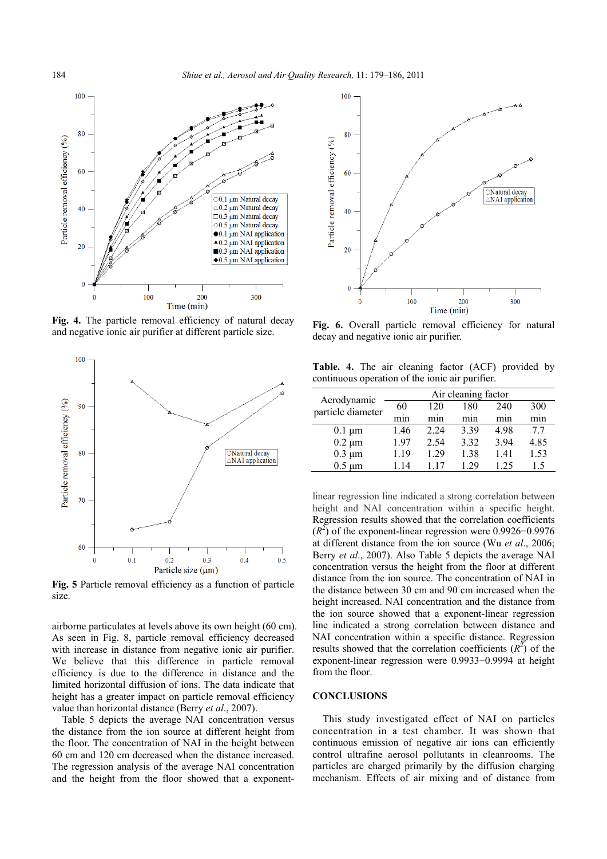

**Fig. 4.** The particle removal efficiency of natural decay and negative ionic air purifier at different particle size.



**Fig. 5** Particle removal efficiency as a function of particle size.

airborne particulates at levels above its own height (60 cm). As seen in Fig. 8, particle removal efficiency decreased with increase in distance from negative ionic air purifier. We believe that this difference in particle removal efficiency is due to the difference in distance and the limited horizontal diffusion of ions. The data indicate that height has a greater impact on particle removal efficiency value than horizontal distance (Berry *et al*., 2007).

Table 5 depicts the average NAI concentration versus the distance from the ion source at different height from the floor. The concentration of NAI in the height between 60 cm and 120 cm decreased when the distance increased. The regression analysis of the average NAI concentration and the height from the floor showed that a exponent-



Fig. 6. Overall particle removal efficiency for natural decay and negative ionic air purifier.

**Table. 4.** The air cleaning factor (ACF) provided by continuous operation of the ionic air purifier.

|                                  | Air cleaning factor |       |      |      |      |
|----------------------------------|---------------------|-------|------|------|------|
| Aerodynamic<br>particle diameter | 60                  | 120   | 180  | 240  | 300  |
|                                  | min                 | mın   | mın  | mın  | mın  |
| $0.1 \mu m$                      | 1.46                | 2 2 4 | 3.39 | 498  | 77   |
| $0.2 \mu m$                      | 197                 | 2.54  | 3.32 | 3 94 | 4.85 |
| $0.3 \mu m$                      | 1.19                | 1 29  | 1.38 | 141  | 1.53 |
| $0.5 \mu m$                      | 114                 | 117   | 1 29 | 1 25 | 1.5  |

linear regression line indicated a strong correlation between height and NAI concentration within a specific height. Regression results showed that the correlation coefficients  $(R<sup>2</sup>)$  of the exponent-linear regression were 0.9926–0.9976 at different distance from the ion source (Wu *et al*., 2006; Berry *et al*., 2007). Also Table 5 depicts the average NAI concentration versus the height from the floor at different distance from the ion source. The concentration of NAI in the distance between 30 cm and 90 cm increased when the height increased. NAI concentration and the distance from the ion source showed that a exponent-linear regression line indicated a strong correlation between distance and NAI concentration within a specific distance. Regression results showed that the correlation coefficients  $(R^2)$  of the exponent-linear regression were 0.9933−0.9994 at height from the floor.

#### **CONCLUSIONS**

This study investigated effect of NAI on particles concentration in a test chamber. It was shown that continuous emission of negative air ions can efficiently control ultrafine aerosol pollutants in cleanrooms. The particles are charged primarily by the diffusion charging mechanism. Effects of air mixing and of distance from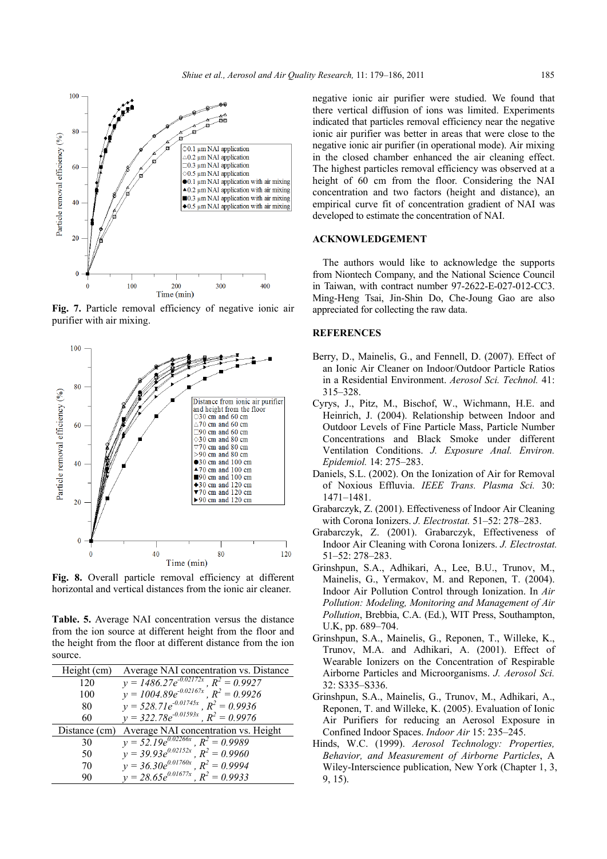

**Fig. 7.** Particle removal efficiency of negative ionic air purifier with air mixing.



**Fig. 8.** Overall particle removal efficiency at different horizontal and vertical distances from the ionic air cleaner.

**Table. 5.** Average NAI concentration versus the distance from the ion source at different height from the floor and the height from the floor at different distance from the ion source.

| Height (cm)   | Average NAI concentration vs. Distance      |
|---------------|---------------------------------------------|
| 120           | $y = 1486.27e^{-0.02172x}$ , $R^2 = 0.9927$ |
| 100           | $y = 1004.89e^{-0.02167x}$ , $R^2 = 0.9926$ |
| 80            | $y = 528.71e^{-0.01745x}$ , $R^2 = 0.9936$  |
| 60            | $y = 322.78e^{-0.01593x}$ , $R^2 = 0.9976$  |
| Distance (cm) | Average NAI concentration vs. Height        |
| 30            | $y = 52.19e^{0.02266x}$ , $R^2 = 0.9989$    |
| 50            | $y = 39.93e^{0.02152x}$ , $R^2 = 0.9960$    |
| 70            | $y = 36.30e^{0.01760x}$ , $R^2 = 0.9994$    |
| 90            | $y = 28.65e^{0.01677x}$ , $R^2 = 0.9933$    |

negative ionic air purifier were studied. We found that there vertical diffusion of ions was limited. Experiments indicated that particles removal efficiency near the negative ionic air purifier was better in areas that were close to the negative ionic air purifier (in operational mode). Air mixing in the closed chamber enhanced the air cleaning effect. The highest particles removal efficiency was observed at a height of 60 cm from the floor. Considering the NAI concentration and two factors (height and distance), an empirical curve fit of concentration gradient of NAI was developed to estimate the concentration of NAI.

# **ACKNOWLEDGEMENT**

The authors would like to acknowledge the supports from Niontech Company, and the National Science Council in Taiwan, with contract number 97-2622-E-027-012-CC3. Ming-Heng Tsai, Jin-Shin Do, Che-Joung Gao are also appreciated for collecting the raw data.

## **REFERENCES**

- Berry, D., Mainelis, G., and Fennell, D. (2007). Effect of an Ionic Air Cleaner on Indoor/Outdoor Particle Ratios in a Residential Environment. *Aerosol Sci. Technol.* 41: 315–328.
- Cyrys, J., Pitz, M., Bischof, W., Wichmann, H.E. and Heinrich, J. (2004). Relationship between Indoor and Outdoor Levels of Fine Particle Mass, Particle Number Concentrations and Black Smoke under different Ventilation Conditions. *J. Exposure Anal. Environ. Epidemiol.* 14: 275–283.
- Daniels, S.L. (2002). On the Ionization of Air for Removal of Noxious Effluvia. *IEEE Trans. Plasma Sci.* 30: 1471–1481.
- Grabarczyk, Z. (2001). Effectiveness of Indoor Air Cleaning with Corona Ionizers. *J. Electrostat.* 51–52: 278–283.
- Grabarczyk, Z. (2001). Grabarczyk, Effectiveness of Indoor Air Cleaning with Corona Ionizers. *J. Electrostat.*  51–52: 278–283.
- Grinshpun, S.A., Adhikari, A., Lee, B.U., Trunov, M., Mainelis, G., Yermakov, M. and Reponen, T. (2004). Indoor Air Pollution Control through Ionization. In *Air Pollution: Modeling, Monitoring and Management of Air Pollution*, Brebbia, C.A. (Ed.), WIT Press, Southampton, U.K, pp. 689–704.
- Grinshpun, S.A., Mainelis, G., Reponen, T., Willeke, K., Trunov, M.A. and Adhikari, A. (2001). Effect of Wearable Ionizers on the Concentration of Respirable Airborne Particles and Microorganisms. *J. Aerosol Sci.* 32: S335–S336.
- Grinshpun, S.A., Mainelis, G., Trunov, M., Adhikari, A., Reponen, T. and Willeke, K. (2005). Evaluation of Ionic Air Purifiers for reducing an Aerosol Exposure in Confined Indoor Spaces. *Indoor Air* 15: 235–245.
- Hinds, W.C. (1999). *Aerosol Technology: Properties, Behavior, and Measurement of Airborne Particles*, A Wiley-Interscience publication, New York (Chapter 1, 3, 9, 15).